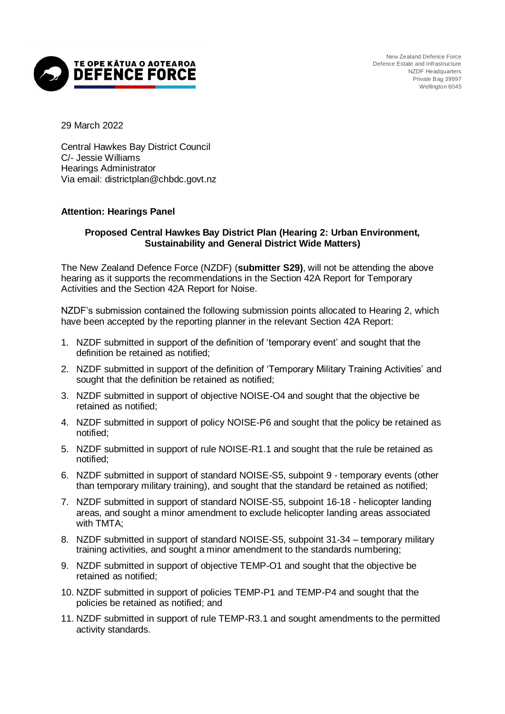

29 March 2022

Central Hawkes Bay District Council C/- Jessie Williams Hearings Administrator Via email: districtplan@chbdc.govt.nz

## **Attention: Hearings Panel**

## **Proposed Central Hawkes Bay District Plan (Hearing 2: Urban Environment, Sustainability and General District Wide Matters)**

The New Zealand Defence Force (NZDF) (**submitter S29)**, will not be attending the above hearing as it supports the recommendations in the Section 42A Report for Temporary Activities and the Section 42A Report for Noise.

NZDF's submission contained the following submission points allocated to Hearing 2, which have been accepted by the reporting planner in the relevant Section 42A Report:

- 1. NZDF submitted in support of the definition of 'temporary event' and sought that the definition be retained as notified;
- 2. NZDF submitted in support of the definition of 'Temporary Military Training Activities' and sought that the definition be retained as notified;
- 3. NZDF submitted in support of objective NOISE-O4 and sought that the objective be retained as notified;
- 4. NZDF submitted in support of policy NOISE-P6 and sought that the policy be retained as notified;
- 5. NZDF submitted in support of rule NOISE-R1.1 and sought that the rule be retained as notified;
- 6. NZDF submitted in support of standard NOISE-S5, subpoint 9 temporary events (other than temporary military training), and sought that the standard be retained as notified;
- 7. NZDF submitted in support of standard NOISE-S5, subpoint 16-18 helicopter landing areas, and sought a minor amendment to exclude helicopter landing areas associated with TMTA;
- 8. NZDF submitted in support of standard NOISE-S5, subpoint 31-34 temporary military training activities, and sought a minor amendment to the standards numbering;
- 9. NZDF submitted in support of objective TEMP-O1 and sought that the objective be retained as notified;
- 10. NZDF submitted in support of policies TEMP-P1 and TEMP-P4 and sought that the policies be retained as notified; and
- 11. NZDF submitted in support of rule TEMP-R3.1 and sought amendments to the permitted activity standards.